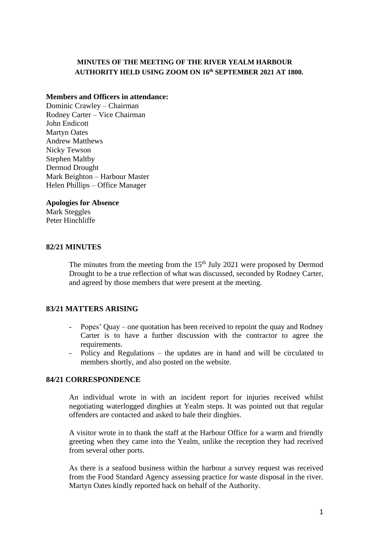## **MINUTES OF THE MEETING OF THE RIVER YEALM HARBOUR AUTHORITY HELD USING ZOOM ON 16 th SEPTEMBER 2021 AT 1800.**

#### **Members and Officers in attendance:**

Dominic Crawley – Chairman Rodney Carter – Vice Chairman John Endicott Martyn Oates Andrew Matthews Nicky Tewson Stephen Maltby Dermod Drought Mark Beighton – Harbour Master Helen Phillips – Office Manager

#### **Apologies for Absence**

Mark Steggles Peter Hinchliffe

#### **82/21 MINUTES**

The minutes from the meeting from the  $15<sup>th</sup>$  July 2021 were proposed by Dermod Drought to be a true reflection of what was discussed, seconded by Rodney Carter, and agreed by those members that were present at the meeting.

#### **83/21 MATTERS ARISING**

- Popes' Quay one quotation has been received to repoint the quay and Rodney Carter is to have a further discussion with the contractor to agree the requirements.
- Policy and Regulations the updates are in hand and will be circulated to members shortly, and also posted on the website.

#### **84/21 CORRESPONDENCE**

An individual wrote in with an incident report for injuries received whilst negotiating waterlogged dinghies at Yealm steps. It was pointed out that regular offenders are contacted and asked to bale their dinghies.

A visitor wrote in to thank the staff at the Harbour Office for a warm and friendly greeting when they came into the Yealm, unlike the reception they had received from several other ports.

As there is a seafood business within the harbour a survey request was received from the Food Standard Agency assessing practice for waste disposal in the river. Martyn Oates kindly reported back on behalf of the Authority.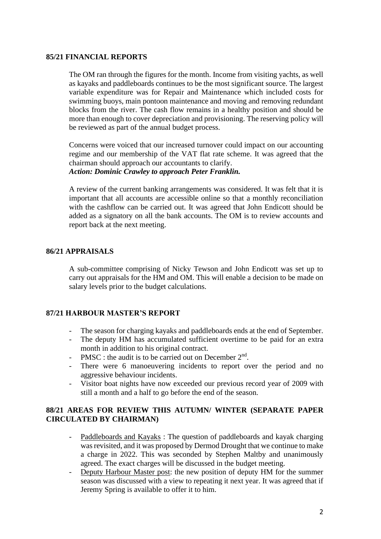### **85/21 FINANCIAL REPORTS**

The OM ran through the figures for the month. Income from visiting yachts, as well as kayaks and paddleboards continues to be the most significant source. The largest variable expenditure was for Repair and Maintenance which included costs for swimming buoys, main pontoon maintenance and moving and removing redundant blocks from the river. The cash flow remains in a healthy position and should be more than enough to cover depreciation and provisioning. The reserving policy will be reviewed as part of the annual budget process.

Concerns were voiced that our increased turnover could impact on our accounting regime and our membership of the VAT flat rate scheme. It was agreed that the chairman should approach our accountants to clarify. *Action: Dominic Crawley to approach Peter Franklin.*

A review of the current banking arrangements was considered. It was felt that it is important that all accounts are accessible online so that a monthly reconciliation with the cashflow can be carried out. It was agreed that John Endicott should be added as a signatory on all the bank accounts. The OM is to review accounts and report back at the next meeting.

### **86/21 APPRAISALS**

A sub-committee comprising of Nicky Tewson and John Endicott was set up to carry out appraisals for the HM and OM. This will enable a decision to be made on salary levels prior to the budget calculations.

#### **87/21 HARBOUR MASTER'S REPORT**

- The season for charging kayaks and paddleboards ends at the end of September.
- The deputy HM has accumulated sufficient overtime to be paid for an extra month in addition to his original contract.
- PMSC : the audit is to be carried out on December  $2<sup>nd</sup>$ .
- There were 6 manoeuvering incidents to report over the period and no aggressive behaviour incidents.
- Visitor boat nights have now exceeded our previous record year of 2009 with still a month and a half to go before the end of the season.

### **88/21 AREAS FOR REVIEW THIS AUTUMN/ WINTER (SEPARATE PAPER CIRCULATED BY CHAIRMAN)**

- Paddleboards and Kayaks : The question of paddleboards and kayak charging was revisited, and it was proposed by Dermod Drought that we continue to make a charge in 2022. This was seconded by Stephen Maltby and unanimously agreed. The exact charges will be discussed in the budget meeting.
- Deputy Harbour Master post: the new position of deputy HM for the summer season was discussed with a view to repeating it next year. It was agreed that if Jeremy Spring is available to offer it to him.